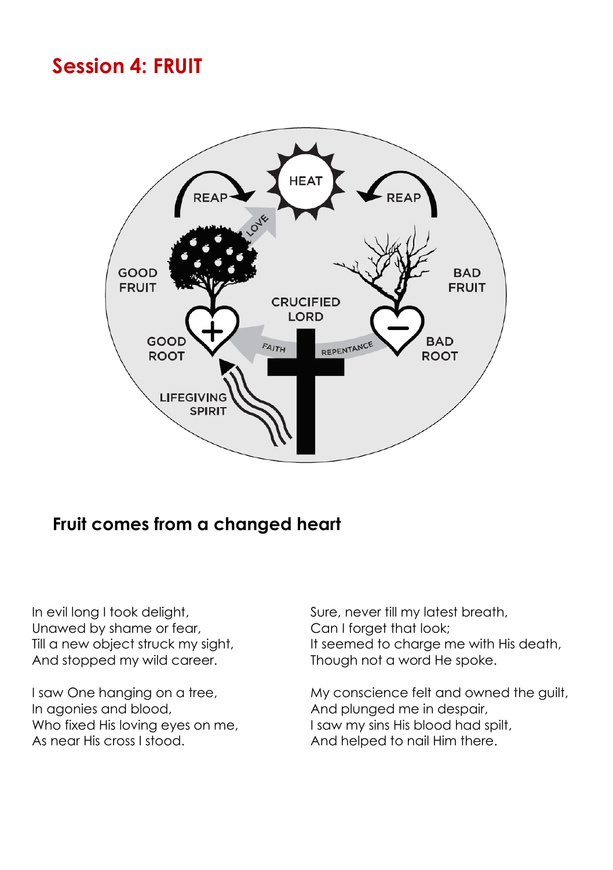# **Session 4: FRUIT**



#### **Fruit comes from a changed heart**

In evil long I took delight, Unawed by shame or fear, Till a new object struck my sight, And stopped my wild career.

I saw One hanging on a tree, In agonies and blood, Who fixed His loving eyes on me, As near His cross I stood.

Sure, never till my latest breath, Can I forget that look; It seemed to charge me with His death, Though not a word He spoke.

My conscience felt and owned the guilt, And plunged me in despair, I saw my sins His blood had spilt, And helped to nail Him there.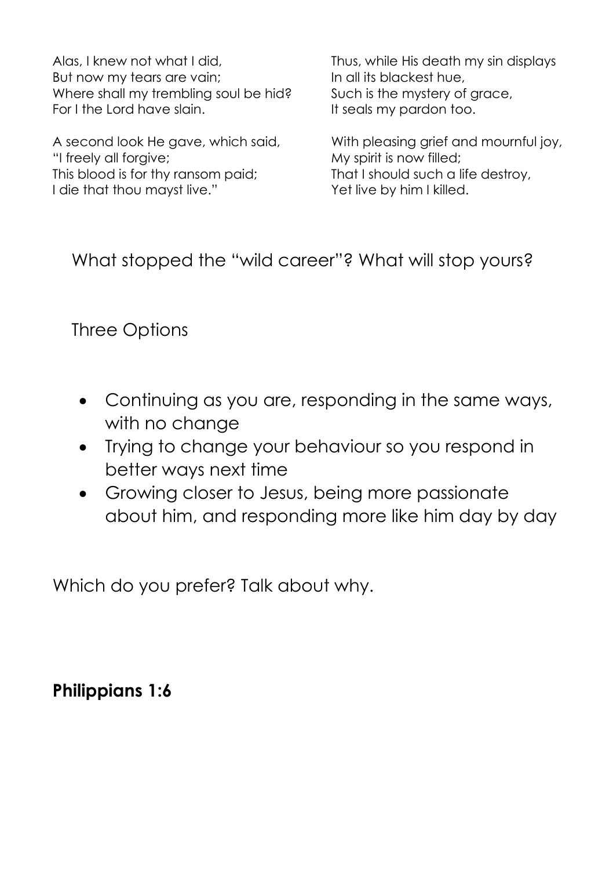Alas, I knew not what I did, But now my tears are vain; Where shall my trembling soul be hid? For I the Lord have slain.

A second look He gave, which said, "I freely all forgive; This blood is for thy ransom paid; I die that thou mayst live."

Thus, while His death my sin displays In all its blackest hue, Such is the mystery of grace, It seals my pardon too.

With pleasing grief and mournful joy, My spirit is now filled; That I should such a life destroy, Yet live by him I killed.

What stopped the "wild career"? What will stop yours?

## Three Options

- Continuing as you are, responding in the same ways, with no change
- Trying to change your behaviour so you respond in better ways next time
- Growing closer to Jesus, being more passionate about him, and responding more like him day by day

Which do you prefer? Talk about why.

#### **Philippians 1:6**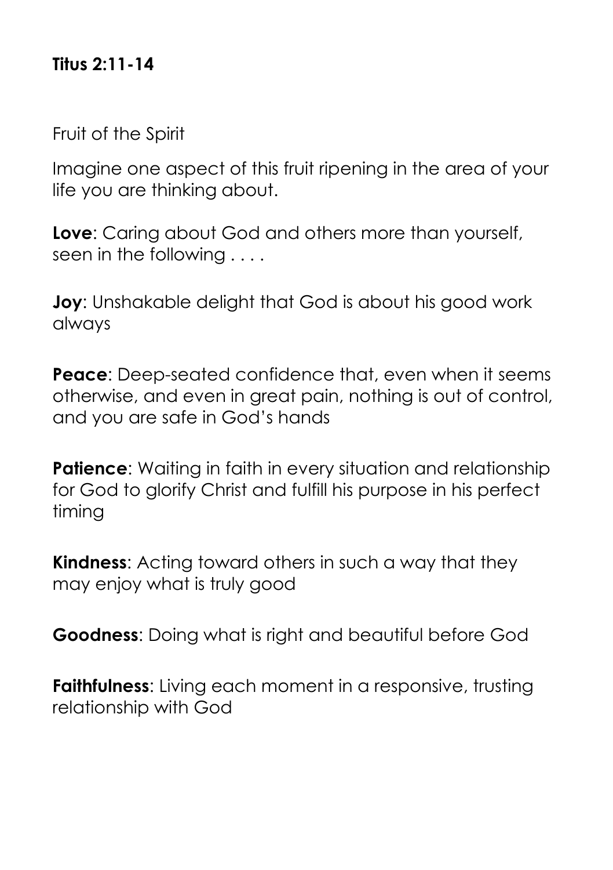#### **Titus 2:11-14**

Fruit of the Spirit

Imagine one aspect of this fruit ripening in the area of your life you are thinking about.

**Love**: Caring about God and others more than yourself, seen in the following . . . .

**Joy**: Unshakable delight that God is about his good work always

**Peace**: Deep-seated confidence that, even when it seems otherwise, and even in great pain, nothing is out of control, and you are safe in God's hands

**Patience:** Waiting in faith in every situation and relationship for God to glorify Christ and fulfill his purpose in his perfect timing

**Kindness**: Acting toward others in such a way that they may enjoy what is truly good

**Goodness**: Doing what is right and beautiful before God

**Faithfulness:** Living each moment in a responsive, trusting relationship with God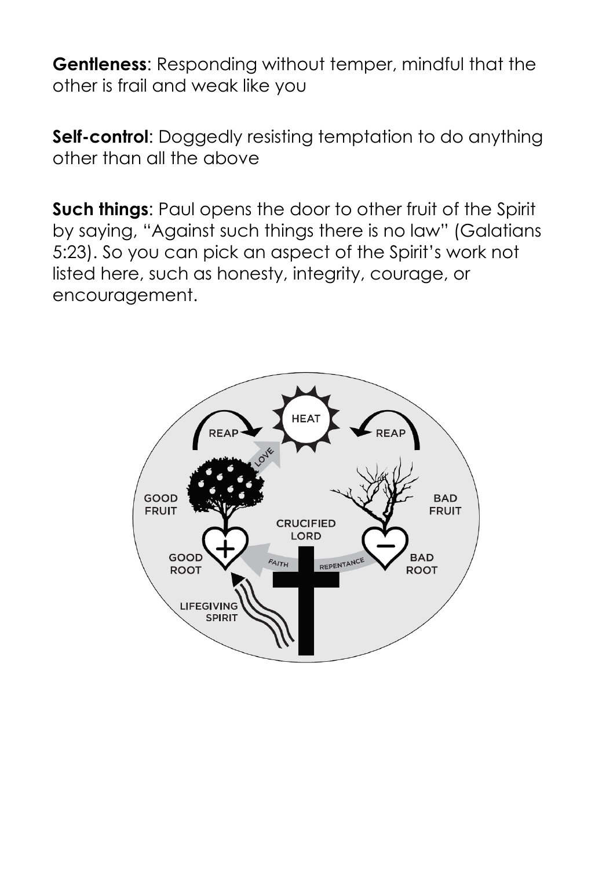**Gentleness**: Responding without temper, mindful that the other is frail and weak like you

**Self-control:** Doggedly resisting temptation to do anything other than all the above

**Such things:** Paul opens the door to other fruit of the Spirit by saying, "Against such things there is no law" (Galatians 5:23). So you can pick an aspect of the Spirit's work not listed here, such as honesty, integrity, courage, or encouragement.